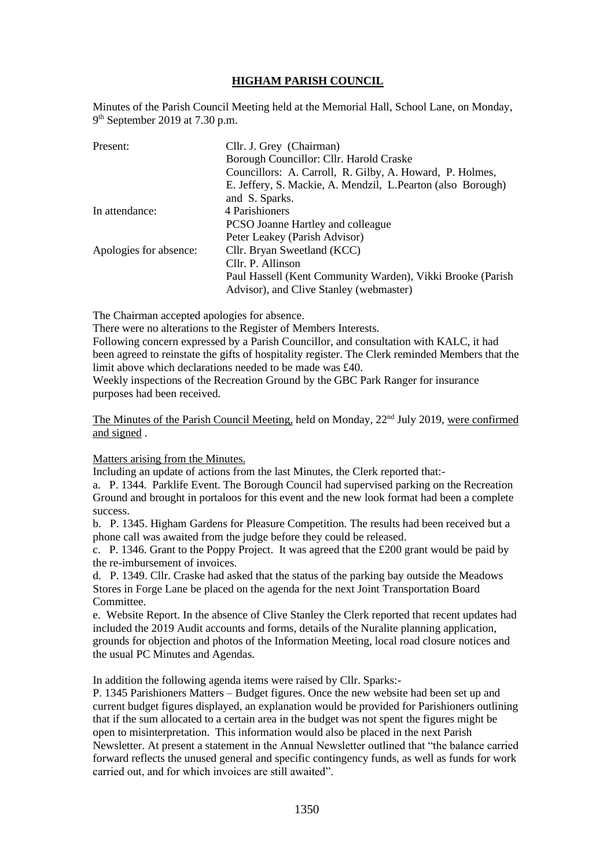# **HIGHAM PARISH COUNCIL**

Minutes of the Parish Council Meeting held at the Memorial Hall, School Lane, on Monday, 9<sup>th</sup> September 2019 at 7.30 p.m.

| Present:               | Cllr. J. Grey (Chairman)                                     |
|------------------------|--------------------------------------------------------------|
|                        | Borough Councillor: Cllr. Harold Craske                      |
|                        | Councillors: A. Carroll, R. Gilby, A. Howard, P. Holmes,     |
|                        | E. Jeffery, S. Mackie, A. Mendzil, L. Pearton (also Borough) |
|                        | and S. Sparks.                                               |
| In attendance:         | 4 Parishioners                                               |
|                        | PCSO Joanne Hartley and colleague                            |
|                        | Peter Leakey (Parish Advisor)                                |
| Apologies for absence: | Cllr. Bryan Sweetland (KCC)                                  |
|                        | Cllr. P. Allinson                                            |
|                        | Paul Hassell (Kent Community Warden), Vikki Brooke (Parish   |
|                        | Advisor), and Clive Stanley (webmaster)                      |

The Chairman accepted apologies for absence.

There were no alterations to the Register of Members Interests.

Following concern expressed by a Parish Councillor, and consultation with KALC, it had been agreed to reinstate the gifts of hospitality register. The Clerk reminded Members that the limit above which declarations needed to be made was £40.

Weekly inspections of the Recreation Ground by the GBC Park Ranger for insurance purposes had been received.

The Minutes of the Parish Council Meeting, held on Monday, 22nd July 2019, were confirmed and signed .

## Matters arising from the Minutes.

Including an update of actions from the last Minutes, the Clerk reported that:-

a. P. 1344. Parklife Event. The Borough Council had supervised parking on the Recreation Ground and brought in portaloos for this event and the new look format had been a complete success.

b. P. 1345. Higham Gardens for Pleasure Competition. The results had been received but a phone call was awaited from the judge before they could be released.

c. P. 1346. Grant to the Poppy Project. It was agreed that the £200 grant would be paid by the re-imbursement of invoices.

d. P. 1349. Cllr. Craske had asked that the status of the parking bay outside the Meadows Stores in Forge Lane be placed on the agenda for the next Joint Transportation Board Committee.

e. Website Report. In the absence of Clive Stanley the Clerk reported that recent updates had included the 2019 Audit accounts and forms, details of the Nuralite planning application, grounds for objection and photos of the Information Meeting, local road closure notices and the usual PC Minutes and Agendas.

In addition the following agenda items were raised by Cllr. Sparks:-

P. 1345 Parishioners Matters – Budget figures. Once the new website had been set up and current budget figures displayed, an explanation would be provided for Parishioners outlining that if the sum allocated to a certain area in the budget was not spent the figures might be open to misinterpretation. This information would also be placed in the next Parish Newsletter. At present a statement in the Annual Newsletter outlined that "the balance carried forward reflects the unused general and specific contingency funds, as well as funds for work carried out, and for which invoices are still awaited".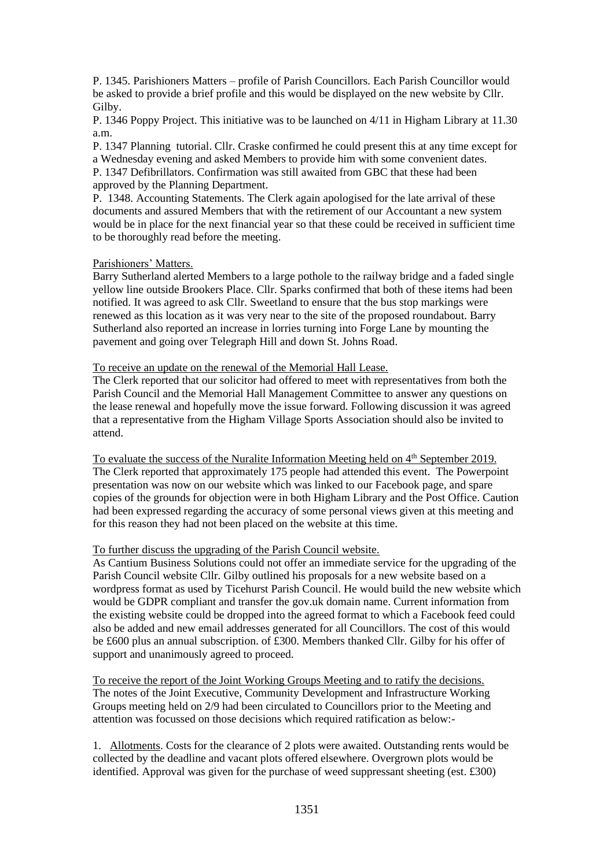P. 1345. Parishioners Matters – profile of Parish Councillors. Each Parish Councillor would be asked to provide a brief profile and this would be displayed on the new website by Cllr. Gilby.

P. 1346 Poppy Project. This initiative was to be launched on 4/11 in Higham Library at 11.30 a.m.

P. 1347 Planning tutorial. Cllr. Craske confirmed he could present this at any time except for a Wednesday evening and asked Members to provide him with some convenient dates. P. 1347 Defibrillators. Confirmation was still awaited from GBC that these had been approved by the Planning Department.

P. 1348. Accounting Statements. The Clerk again apologised for the late arrival of these documents and assured Members that with the retirement of our Accountant a new system would be in place for the next financial year so that these could be received in sufficient time to be thoroughly read before the meeting.

#### Parishioners' Matters.

Barry Sutherland alerted Members to a large pothole to the railway bridge and a faded single yellow line outside Brookers Place. Cllr. Sparks confirmed that both of these items had been notified. It was agreed to ask Cllr. Sweetland to ensure that the bus stop markings were renewed as this location as it was very near to the site of the proposed roundabout. Barry Sutherland also reported an increase in lorries turning into Forge Lane by mounting the pavement and going over Telegraph Hill and down St. Johns Road.

## To receive an update on the renewal of the Memorial Hall Lease.

The Clerk reported that our solicitor had offered to meet with representatives from both the Parish Council and the Memorial Hall Management Committee to answer any questions on the lease renewal and hopefully move the issue forward. Following discussion it was agreed that a representative from the Higham Village Sports Association should also be invited to attend.

To evaluate the success of the Nuralite Information Meeting held on 4<sup>th</sup> September 2019. The Clerk reported that approximately 175 people had attended this event. The Powerpoint presentation was now on our website which was linked to our Facebook page, and spare copies of the grounds for objection were in both Higham Library and the Post Office. Caution had been expressed regarding the accuracy of some personal views given at this meeting and for this reason they had not been placed on the website at this time.

## To further discuss the upgrading of the Parish Council website.

As Cantium Business Solutions could not offer an immediate service for the upgrading of the Parish Council website Cllr. Gilby outlined his proposals for a new website based on a wordpress format as used by Ticehurst Parish Council. He would build the new website which would be GDPR compliant and transfer the gov.uk domain name. Current information from the existing website could be dropped into the agreed format to which a Facebook feed could also be added and new email addresses generated for all Councillors. The cost of this would be £600 plus an annual subscription. of £300. Members thanked Cllr. Gilby for his offer of support and unanimously agreed to proceed.

To receive the report of the Joint Working Groups Meeting and to ratify the decisions. The notes of the Joint Executive, Community Development and Infrastructure Working Groups meeting held on 2/9 had been circulated to Councillors prior to the Meeting and attention was focussed on those decisions which required ratification as below:-

1. Allotments. Costs for the clearance of 2 plots were awaited. Outstanding rents would be collected by the deadline and vacant plots offered elsewhere. Overgrown plots would be identified. Approval was given for the purchase of weed suppressant sheeting (est. £300)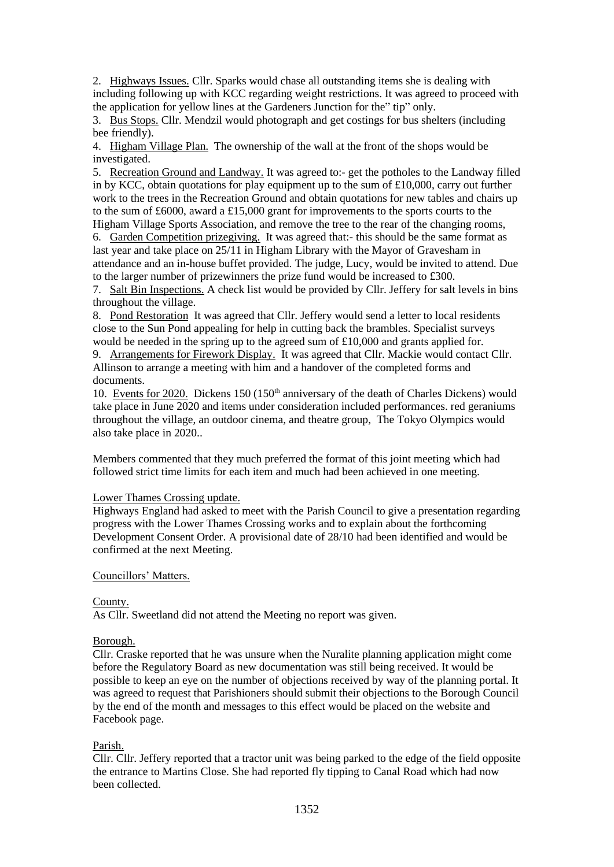2. Highways Issues. Cllr. Sparks would chase all outstanding items she is dealing with including following up with KCC regarding weight restrictions. It was agreed to proceed with the application for yellow lines at the Gardeners Junction for the" tip" only.

3. Bus Stops. Cllr. Mendzil would photograph and get costings for bus shelters (including bee friendly).

4. Higham Village Plan. The ownership of the wall at the front of the shops would be investigated.

5. Recreation Ground and Landway. It was agreed to:- get the potholes to the Landway filled in by KCC, obtain quotations for play equipment up to the sum of  $\text{\pounds}10,000$ , carry out further work to the trees in the Recreation Ground and obtain quotations for new tables and chairs up to the sum of £6000, award a £15,000 grant for improvements to the sports courts to the Higham Village Sports Association, and remove the tree to the rear of the changing rooms,

6. Garden Competition prizegiving. It was agreed that:- this should be the same format as last year and take place on 25/11 in Higham Library with the Mayor of Gravesham in attendance and an in-house buffet provided. The judge, Lucy, would be invited to attend. Due to the larger number of prizewinners the prize fund would be increased to £300.

7. Salt Bin Inspections. A check list would be provided by Cllr. Jeffery for salt levels in bins throughout the village.

8. Pond Restoration It was agreed that Cllr. Jeffery would send a letter to local residents close to the Sun Pond appealing for help in cutting back the brambles. Specialist surveys would be needed in the spring up to the agreed sum of £10,000 and grants applied for.

9. Arrangements for Firework Display. It was agreed that Cllr. Mackie would contact Cllr. Allinson to arrange a meeting with him and a handover of the completed forms and documents.

10. Events for 2020. Dickens  $150 (150<sup>th</sup>$  anniversary of the death of Charles Dickens) would take place in June 2020 and items under consideration included performances. red geraniums throughout the village, an outdoor cinema, and theatre group, The Tokyo Olympics would also take place in 2020..

Members commented that they much preferred the format of this joint meeting which had followed strict time limits for each item and much had been achieved in one meeting.

## Lower Thames Crossing update.

Highways England had asked to meet with the Parish Council to give a presentation regarding progress with the Lower Thames Crossing works and to explain about the forthcoming Development Consent Order. A provisional date of 28/10 had been identified and would be confirmed at the next Meeting.

## Councillors' Matters.

## County.

As Cllr. Sweetland did not attend the Meeting no report was given.

#### Borough.

Cllr. Craske reported that he was unsure when the Nuralite planning application might come before the Regulatory Board as new documentation was still being received. It would be possible to keep an eye on the number of objections received by way of the planning portal. It was agreed to request that Parishioners should submit their objections to the Borough Council by the end of the month and messages to this effect would be placed on the website and Facebook page.

#### Parish.

Cllr. Cllr. Jeffery reported that a tractor unit was being parked to the edge of the field opposite the entrance to Martins Close. She had reported fly tipping to Canal Road which had now been collected.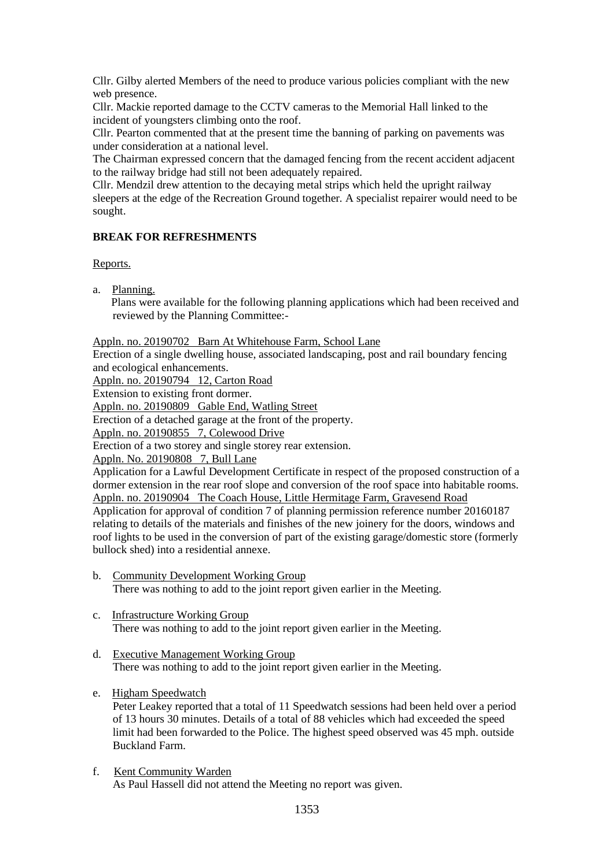Cllr. Gilby alerted Members of the need to produce various policies compliant with the new web presence.

Cllr. Mackie reported damage to the CCTV cameras to the Memorial Hall linked to the incident of youngsters climbing onto the roof.

Cllr. Pearton commented that at the present time the banning of parking on pavements was under consideration at a national level.

The Chairman expressed concern that the damaged fencing from the recent accident adjacent to the railway bridge had still not been adequately repaired.

Cllr. Mendzil drew attention to the decaying metal strips which held the upright railway sleepers at the edge of the Recreation Ground together. A specialist repairer would need to be sought.

# **BREAK FOR REFRESHMENTS**

Reports.

a. Planning.

 Plans were available for the following planning applications which had been received and reviewed by the Planning Committee:-

Appln. no. 20190702 Barn At Whitehouse Farm, School Lane

Erection of a single dwelling house, associated landscaping, post and rail boundary fencing and ecological enhancements.

Appln. no. 20190794 12, Carton Road

Extension to existing front dormer.

Appln. no. 20190809 Gable End, Watling Street

Erection of a detached garage at the front of the property.

Appln. no. 20190855 7, Colewood Drive

Erection of a two storey and single storey rear extension.

Appln. No. 20190808 7, Bull Lane

Application for a Lawful Development Certificate in respect of the proposed construction of a dormer extension in the rear roof slope and conversion of the roof space into habitable rooms. Appln. no. 20190904 The Coach House, Little Hermitage Farm, Gravesend Road Application for approval of condition 7 of planning permission reference number 20160187 relating to details of the materials and finishes of the new joinery for the doors, windows and roof lights to be used in the conversion of part of the existing garage/domestic store (formerly bullock shed) into a residential annexe.

- b. Community Development Working Group There was nothing to add to the joint report given earlier in the Meeting.
- c. Infrastructure Working Group There was nothing to add to the joint report given earlier in the Meeting.
- d. Executive Management Working Group There was nothing to add to the joint report given earlier in the Meeting.

# e. Higham Speedwatch

 Peter Leakey reported that a total of 11 Speedwatch sessions had been held over a period of 13 hours 30 minutes. Details of a total of 88 vehicles which had exceeded the speed limit had been forwarded to the Police. The highest speed observed was 45 mph. outside Buckland Farm.

# f. Kent Community Warden

As Paul Hassell did not attend the Meeting no report was given.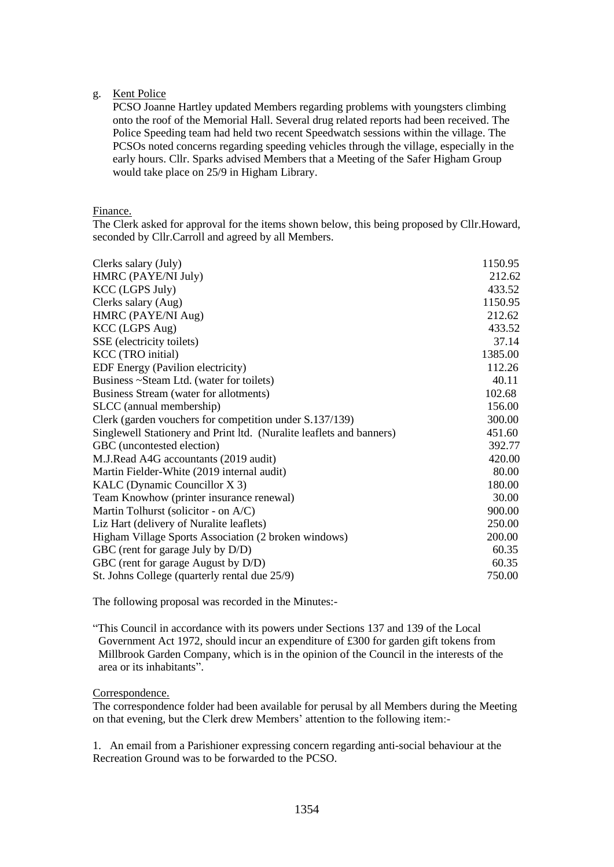## g. Kent Police

 PCSO Joanne Hartley updated Members regarding problems with youngsters climbing onto the roof of the Memorial Hall. Several drug related reports had been received. The Police Speeding team had held two recent Speedwatch sessions within the village. The PCSOs noted concerns regarding speeding vehicles through the village, especially in the early hours. Cllr. Sparks advised Members that a Meeting of the Safer Higham Group would take place on 25/9 in Higham Library.

## Finance.

The Clerk asked for approval for the items shown below, this being proposed by Cllr.Howard, seconded by Cllr.Carroll and agreed by all Members.

| Clerks salary (July)                                                 | 1150.95 |
|----------------------------------------------------------------------|---------|
| HMRC (PAYE/NI July)                                                  | 212.62  |
| <b>KCC</b> (LGPS July)                                               | 433.52  |
| Clerks salary (Aug)                                                  | 1150.95 |
| HMRC (PAYE/NI Aug)                                                   | 212.62  |
| KCC (LGPS Aug)                                                       | 433.52  |
| SSE (electricity toilets)                                            | 37.14   |
| KCC (TRO initial)                                                    | 1385.00 |
| EDF Energy (Pavilion electricity)                                    | 112.26  |
| Business ~Steam Ltd. (water for toilets)                             | 40.11   |
| Business Stream (water for allotments)                               | 102.68  |
| SLCC (annual membership)                                             | 156.00  |
| Clerk (garden vouchers for competition under S.137/139)              | 300.00  |
| Singlewell Stationery and Print ltd. (Nuralite leaflets and banners) | 451.60  |
| GBC (uncontested election)                                           | 392.77  |
| M.J.Read A4G accountants (2019 audit)                                | 420.00  |
| Martin Fielder-White (2019 internal audit)                           | 80.00   |
| KALC (Dynamic Councillor X 3)                                        | 180.00  |
| Team Knowhow (printer insurance renewal)                             | 30.00   |
| Martin Tolhurst (solicitor - on A/C)                                 | 900.00  |
| Liz Hart (delivery of Nuralite leaflets)                             | 250.00  |
| Higham Village Sports Association (2 broken windows)                 | 200.00  |
| GBC (rent for garage July by D/D)                                    | 60.35   |
| GBC (rent for garage August by D/D)                                  | 60.35   |
| St. Johns College (quarterly rental due 25/9)                        | 750.00  |

The following proposal was recorded in the Minutes:-

"This Council in accordance with its powers under Sections 137 and 139 of the Local Government Act 1972, should incur an expenditure of £300 for garden gift tokens from Millbrook Garden Company, which is in the opinion of the Council in the interests of the area or its inhabitants".

## Correspondence.

The correspondence folder had been available for perusal by all Members during the Meeting on that evening, but the Clerk drew Members' attention to the following item:-

1. An email from a Parishioner expressing concern regarding anti-social behaviour at the Recreation Ground was to be forwarded to the PCSO.